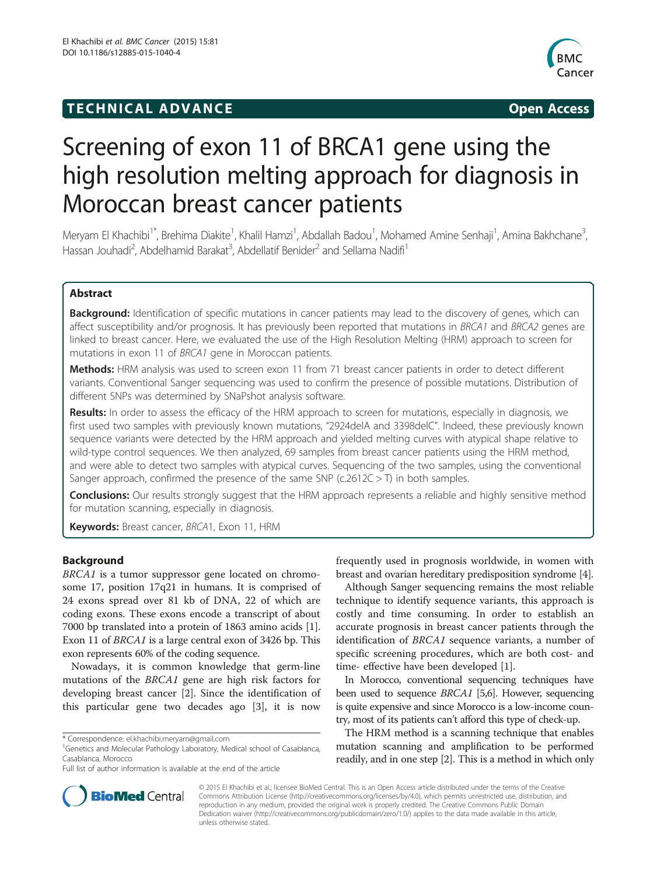## **TECHNICAL ADVANCE CONSUMING A LIGACION** COPEN ACCESS



# Screening of exon 11 of BRCA1 gene using the high resolution melting approach for diagnosis in Moroccan breast cancer patients

Meryam El Khachibi<sup>1\*</sup>, Brehima Diakite<sup>1</sup>, Khalil Hamzi<sup>1</sup>, Abdallah Badou<sup>1</sup>, Mohamed Amine Senhaji<sup>1</sup>, Amina Bakhchane<sup>3</sup> , Hassan Jouhadi<sup>2</sup>, Abdelhamid Barakat<sup>3</sup>, Abdellatif Benider<sup>2</sup> and Sellama Nadifi<sup>1</sup>

## Abstract

Background: Identification of specific mutations in cancer patients may lead to the discovery of genes, which can affect susceptibility and/or prognosis. It has previously been reported that mutations in BRCA1 and BRCA2 genes are linked to breast cancer. Here, we evaluated the use of the High Resolution Melting (HRM) approach to screen for mutations in exon 11 of BRCA1 gene in Moroccan patients.

**Methods:** HRM analysis was used to screen exon 11 from 71 breast cancer patients in order to detect different variants. Conventional Sanger sequencing was used to confirm the presence of possible mutations. Distribution of different SNPs was determined by SNaPshot analysis software.

Results: In order to assess the efficacy of the HRM approach to screen for mutations, especially in diagnosis, we first used two samples with previously known mutations, "2924delA and 3398delC". Indeed, these previously known sequence variants were detected by the HRM approach and yielded melting curves with atypical shape relative to wild-type control sequences. We then analyzed, 69 samples from breast cancer patients using the HRM method, and were able to detect two samples with atypical curves. Sequencing of the two samples, using the conventional Sanger approach, confirmed the presence of the same SNP ( $c.2612C > T$ ) in both samples.

**Conclusions:** Our results strongly suggest that the HRM approach represents a reliable and highly sensitive method for mutation scanning, especially in diagnosis.

Keywords: Breast cancer, BRCA1, Exon 11, HRM

## Background

BRCA1 is a tumor suppressor gene located on chromosome 17, position 17q21 in humans. It is comprised of 24 exons spread over 81 kb of DNA, 22 of which are coding exons. These exons encode a transcript of about 7000 bp translated into a protein of 1863 amino acids [[1](#page-4-0)]. Exon 11 of BRCA1 is a large central exon of 3426 bp. This exon represents 60% of the coding sequence.

Nowadays, it is common knowledge that germ-line mutations of the BRCA1 gene are high risk factors for developing breast cancer [[2\]](#page-4-0). Since the identification of this particular gene two decades ago [[3\]](#page-4-0), it is now



Although Sanger sequencing remains the most reliable technique to identify sequence variants, this approach is costly and time consuming. In order to establish an accurate prognosis in breast cancer patients through the identification of BRCA1 sequence variants, a number of specific screening procedures, which are both cost- and time- effective have been developed [\[1\]](#page-4-0).

In Morocco, conventional sequencing techniques have been used to sequence BRCA1 [\[5,6](#page-4-0)]. However, sequencing is quite expensive and since Morocco is a low-income country, most of its patients can't afford this type of check-up.

The HRM method is a scanning technique that enables mutation scanning and amplification to be performed readily, and in one step [[2](#page-4-0)]. This is a method in which only



© 2015 El Khachibi et al.; licensee BioMed Central. This is an Open Access article distributed under the terms of the Creative Commons Attribution License [\(http://creativecommons.org/licenses/by/4.0\)](http://creativecommons.org/licenses/by/4.0), which permits unrestricted use, distribution, and reproduction in any medium, provided the original work is properly credited. The Creative Commons Public Domain Dedication waiver [\(http://creativecommons.org/publicdomain/zero/1.0/](http://creativecommons.org/publicdomain/zero/1.0/)) applies to the data made available in this article, unless otherwise stated.

<sup>\*</sup> Correspondence: [el.khachibi.meryam@gmail.com](mailto:el.khachibi.meryam@gmail.com) <sup>1</sup>

<sup>&</sup>lt;sup>1</sup>Genetics and Molecular Pathology Laboratory, Medical school of Casablanca, Casablanca, Morocco

Full list of author information is available at the end of the article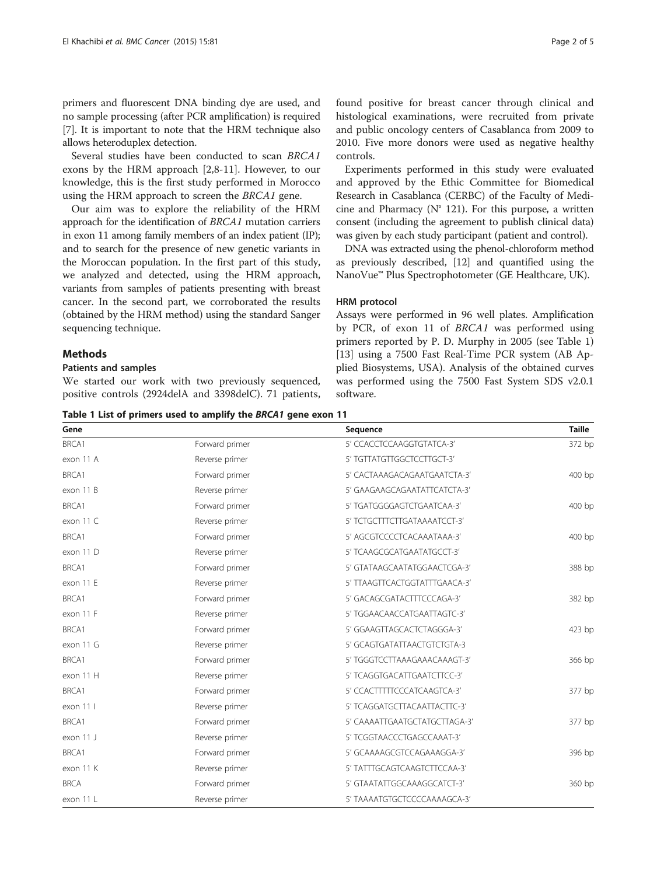<span id="page-1-0"></span>primers and fluorescent DNA binding dye are used, and no sample processing (after PCR amplification) is required [[7\]](#page-4-0). It is important to note that the HRM technique also allows heteroduplex detection.

Several studies have been conducted to scan BRCA1 exons by the HRM approach [\[2,8-11](#page-4-0)]. However, to our knowledge, this is the first study performed in Morocco using the HRM approach to screen the BRCA1 gene.

Our aim was to explore the reliability of the HRM approach for the identification of BRCA1 mutation carriers in exon 11 among family members of an index patient (IP); and to search for the presence of new genetic variants in the Moroccan population. In the first part of this study, we analyzed and detected, using the HRM approach, variants from samples of patients presenting with breast cancer. In the second part, we corroborated the results (obtained by the HRM method) using the standard Sanger sequencing technique.

## **Methods**

## Patients and samples

We started our work with two previously sequenced, positive controls (2924delA and 3398delC). 71 patients, found positive for breast cancer through clinical and histological examinations, were recruited from private and public oncology centers of Casablanca from 2009 to 2010. Five more donors were used as negative healthy controls.

Experiments performed in this study were evaluated and approved by the Ethic Committee for Biomedical Research in Casablanca (CERBC) of the Faculty of Medicine and Pharmacy ( $N^{\circ}$  121). For this purpose, a written consent (including the agreement to publish clinical data) was given by each study participant (patient and control).

DNA was extracted using the phenol-chloroform method as previously described, [[12](#page-4-0)] and quantified using the NanoVue™ Plus Spectrophotometer (GE Healthcare, UK).

### HRM protocol

Assays were performed in 96 well plates. Amplification by PCR, of exon 11 of BRCA1 was performed using primers reported by P. D. Murphy in 2005 (see Table 1) [[13\]](#page-4-0) using a 7500 Fast Real-Time PCR system (AB Applied Biosystems, USA). Analysis of the obtained curves was performed using the 7500 Fast System SDS v2.0.1 software.

Table 1 List of primers used to amplify the BRCA1 gene exon 11

| Gene        |                | Sequence                      | Taille |
|-------------|----------------|-------------------------------|--------|
| BRCA1       | Forward primer | 5' CCACCTCCAAGGTGTATCA-3'     | 372 bp |
| exon 11 A   | Reverse primer | 5' TGTTATGTTGGCTCCTTGCT-3'    |        |
| BRCA1       | Forward primer | 5' CACTAAAGACAGAATGAATCTA-3'  | 400 bp |
| exon 11 B   | Reverse primer | 5' GAAGAAGCAGAATATTCATCTA-3'  |        |
| BRCA1       | Forward primer | 5' TGATGGGGAGTCTGAATCAA-3'    | 400 bp |
| exon 11 C   | Reverse primer | 5' TCTGCTTTCTTGATAAAATCCT-3'  |        |
| BRCA1       | Forward primer | 5' AGCGTCCCCTCACAAATAAA-3'    | 400 bp |
| exon 11 D   | Reverse primer | 5' TCAAGCGCATGAATATGCCT-3'    |        |
| BRCA1       | Forward primer | 5' GTATAAGCAATATGGAACTCGA-3'  | 388 bp |
| exon 11 E   | Reverse primer | 5' TTAAGTTCACTGGTATTTGAACA-3' |        |
| BRCA1       | Forward primer | 5' GACAGCGATACTTTCCCAGA-3'    | 382 bp |
| exon 11 F   | Reverse primer | 5' TGGAACAACCATGAATTAGTC-3'   |        |
| BRCA1       | Forward primer | 5' GGAAGTTAGCACTCTAGGGA-3'    | 423 bp |
| exon 11 G   | Reverse primer | 5' GCAGTGATATTAACTGTCTGTA-3   |        |
| BRCA1       | Forward primer | 5' TGGGTCCTTAAAGAAACAAAGT-3'  | 366 bp |
| exon 11 H   | Reverse primer | 5' TCAGGTGACATTGAATCTTCC-3'   |        |
| BRCA1       | Forward primer | 5' CCACTTTTTCCCATCAAGTCA-3'   | 377 bp |
| exon 11 l   | Reverse primer | 5' TCAGGATGCTTACAATTACTTC-3'  |        |
| BRCA1       | Forward primer | 5' CAAAATTGAATGCTATGCTTAGA-3' | 377 bp |
| exon 11 J   | Reverse primer | 5' TCGGTAACCCTGAGCCAAAT-3'    |        |
| BRCA1       | Forward primer | 5' GCAAAAGCGTCCAGAAAGGA-3'    | 396 bp |
| exon 11 K   | Reverse primer | 5' TATTTGCAGTCAAGTCTTCCAA-3'  |        |
| <b>BRCA</b> | Forward primer | 5' GTAATATTGGCAAAGGCATCT-3'   | 360 bp |
| exon 11 L   | Reverse primer | 5' TAAAATGTGCTCCCCAAAAGCA-3'  |        |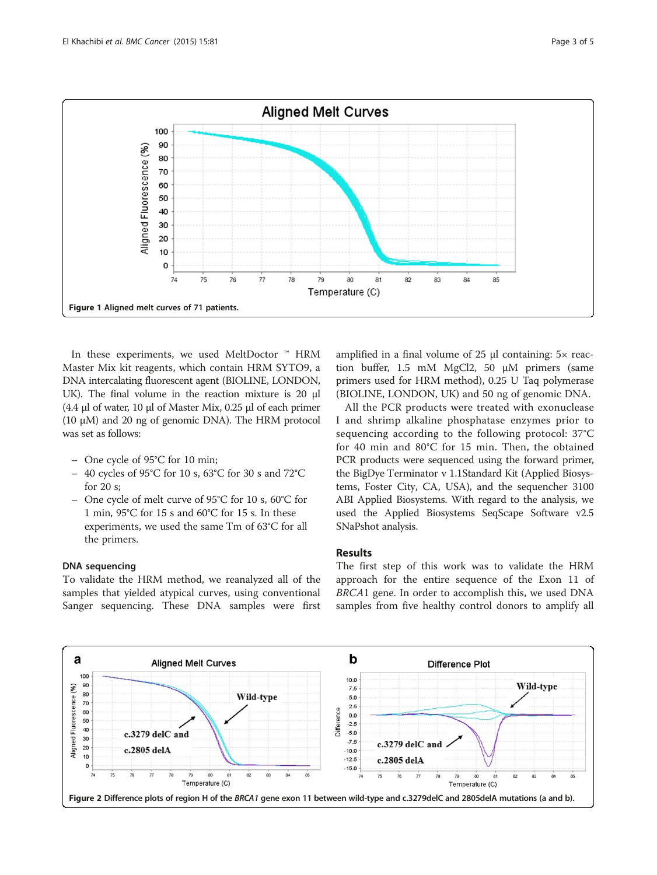<span id="page-2-0"></span>

In these experiments, we used MeltDoctor ™ HRM Master Mix kit reagents, which contain HRM SYTO9, a DNA intercalating fluorescent agent (BIOLINE, LONDON, UK). The final volume in the reaction mixture is 20 μl (4.4 μl of water, 10 μl of Master Mix, 0.25 μl of each primer (10 μM) and 20 ng of genomic DNA). The HRM protocol was set as follows:

- One cycle of 95°C for 10 min;
- 40 cycles of 95°C for 10 s, 63°C for 30 s and 72°C for 20 s;
- One cycle of melt curve of 95°C for 10 s, 60°C for 1 min, 95°C for 15 s and 60°C for 15 s. In these experiments, we used the same Tm of 63°C for all the primers.

#### DNA sequencing

To validate the HRM method, we reanalyzed all of the samples that yielded atypical curves, using conventional Sanger sequencing. These DNA samples were first amplified in a final volume of 25 μl containing: 5× reaction buffer, 1.5 mM MgCl2, 50 μM primers (same primers used for HRM method), 0.25 U Taq polymerase (BIOLINE, LONDON, UK) and 50 ng of genomic DNA.

All the PCR products were treated with exonuclease I and shrimp alkaline phosphatase enzymes prior to sequencing according to the following protocol: 37°C for 40 min and 80°C for 15 min. Then, the obtained PCR products were sequenced using the forward primer, the BigDye Terminator v 1.1Standard Kit (Applied Biosystems, Foster City, CA, USA), and the sequencher 3100 ABI Applied Biosystems. With regard to the analysis, we used the Applied Biosystems SeqScape Software v2.5 SNaPshot analysis.

### Results

The first step of this work was to validate the HRM approach for the entire sequence of the Exon 11 of BRCA1 gene. In order to accomplish this, we used DNA samples from five healthy control donors to amplify all

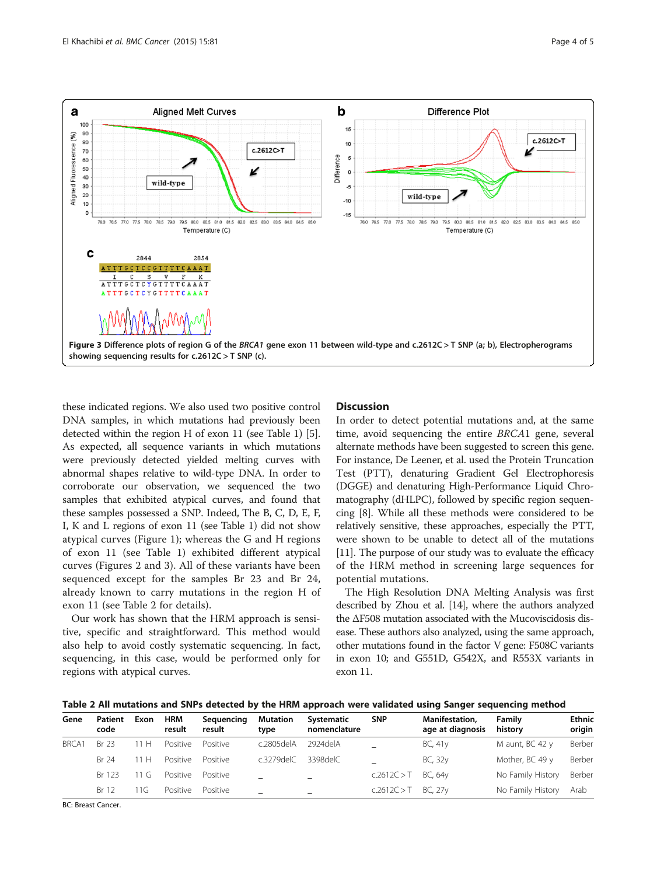

these indicated regions. We also used two positive control DNA samples, in which mutations had previously been detected within the region H of exon 11 (see Table [1](#page-1-0)) [[5](#page-4-0)]. As expected, all sequence variants in which mutations were previously detected yielded melting curves with abnormal shapes relative to wild-type DNA. In order to corroborate our observation, we sequenced the two samples that exhibited atypical curves, and found that these samples possessed a SNP. Indeed, The B, C, D, E, F, I, K and L regions of exon 11 (see Table [1](#page-1-0)) did not show atypical curves (Figure [1](#page-2-0)); whereas the G and H regions of exon 11 (see Table [1](#page-1-0)) exhibited different atypical curves (Figures [2](#page-2-0) and 3). All of these variants have been sequenced except for the samples Br 23 and Br 24, already known to carry mutations in the region H of exon 11 (see Table 2 for details).

Our work has shown that the HRM approach is sensitive, specific and straightforward. This method would also help to avoid costly systematic sequencing. In fact, sequencing, in this case, would be performed only for regions with atypical curves.

## **Discussion**

In order to detect potential mutations and, at the same time, avoid sequencing the entire BRCA1 gene, several alternate methods have been suggested to screen this gene. For instance, De Leener, et al. used the Protein Truncation Test (PTT), denaturing Gradient Gel Electrophoresis (DGGE) and denaturing High-Performance Liquid Chromatography (dHLPC), followed by specific region sequencing [\[8](#page-4-0)]. While all these methods were considered to be relatively sensitive, these approaches, especially the PTT, were shown to be unable to detect all of the mutations [[11](#page-4-0)]. The purpose of our study was to evaluate the efficacy of the HRM method in screening large sequences for potential mutations.

The High Resolution DNA Melting Analysis was first described by Zhou et al. [\[14](#page-4-0)], where the authors analyzed the ΔF508 mutation associated with the Mucoviscidosis disease. These authors also analyzed, using the same approach, other mutations found in the factor V gene: F508C variants in exon 10; and G551D, G542X, and R553X variants in exon 11.

| Table 2 All mutations and SNPs detected by the HRM approach were validated using Sanger sequencing method |  |  |  |
|-----------------------------------------------------------------------------------------------------------|--|--|--|
|-----------------------------------------------------------------------------------------------------------|--|--|--|

| Gene  | Patient<br>code | Exon        | <b>HRM</b><br>result | Sequencing<br>result | <b>Mutation</b><br>type | Systematic<br>nomenclature | <b>SNP</b>  | Manifestation,<br>age at diagnosis | Family<br>history | <b>Ethnic</b><br>origin |
|-------|-----------------|-------------|----------------------|----------------------|-------------------------|----------------------------|-------------|------------------------------------|-------------------|-------------------------|
| BRCA1 | <b>Br 23</b>    | 1H          | Positive             | Positive             | c.2805delA              | 2924 del A                 |             | BC, 41y                            | M aunt, BC 42 y   | Berber                  |
|       | <b>Br 24</b>    | 1 H         | Positive             | Positive             | $c.3279$ del $C$        | <b>CONSPEE</b>             |             | BC, 32y                            | Mother, BC 49 y   | Berber                  |
|       | Br 123          | $.1$ ( $.1$ | Positive             | Positive             |                         |                            | c.2612C > T | BC, 64 <sub>V</sub>                | No Family History | Berber                  |
|       | Br 12           | 1G          | Positive             | Positive             |                         |                            | c.2612C > T | BC, 27y                            | No Family History | Arab                    |

BC: Breast Cancer.